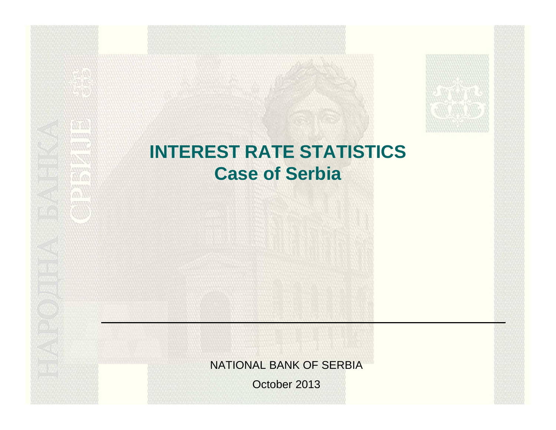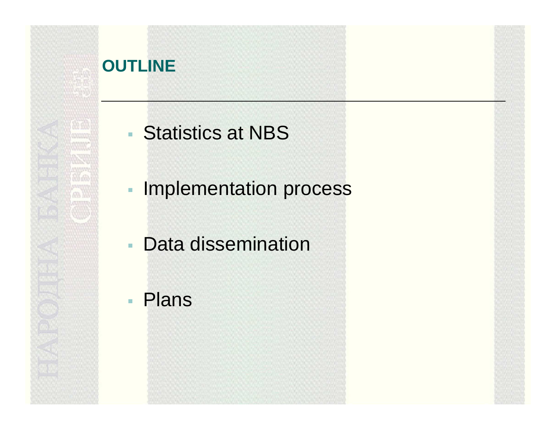#### **OUTLINE**

## Statistics at NBS

- **Implementation process**
- **Service Service** Data dissemination
- Plans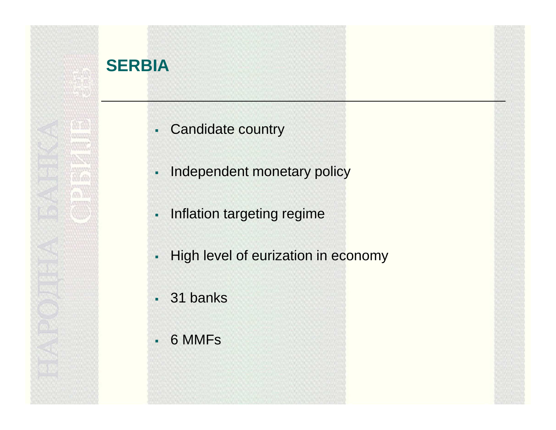### **SERBIA**

- Candidate country
- Independent monetary policy
- **-** Inflation targeting regime
- High level of eurization in economy
- 31 banks
- $\blacksquare$ 6 MMFs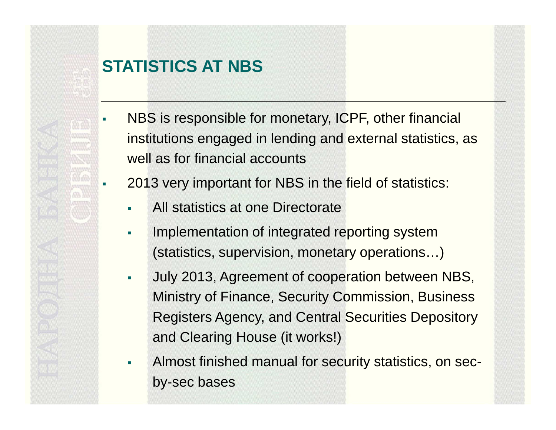#### **STATISTICS AT NBS**

ш

- NBS is responsible for monetary, ICPF, other financial institutions engaged in lending and external statistics, as well as for financial accounts
- г 2013 very important for NBS in the field of statistics:
	- ш All statistics at one Directorate
	- $\blacksquare$  Implementation of integrated reporting system (statistics, supervision, monetary operations…)
	- $\mathbf{r}$  July 2013, Agreement of cooperation between NBS, Ministry of Finance, Security Commission, Business Registers Agency, and Central Securities Depositoryand Clearing House (it works!)
	- $\blacksquare$  Almost finished manual for security statistics, on secby-sec bases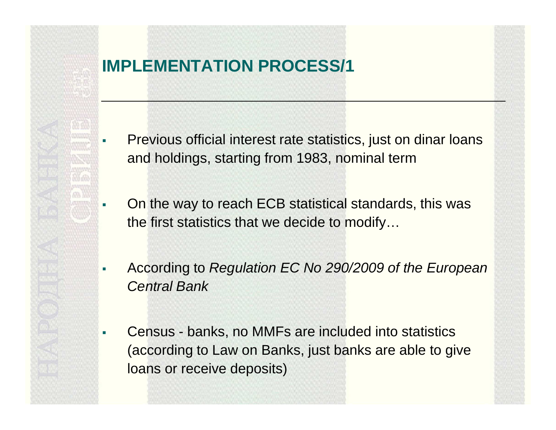# г ш ш ш

#### **IMPLEMENTATION PROCESS/1**

- Previous official interest rate statistics, just on dinar loans and holdings, starting from 1983, nominal term
- On the way to reach ECB statistical standards, this was the first statistics that we decide to modify…
- According to Regulation EC No 290/2009 of the European Central Bank
- Census banks, no MMFs are included into statistics (according to Law on Banks, just banks are able to give loans or receive deposits)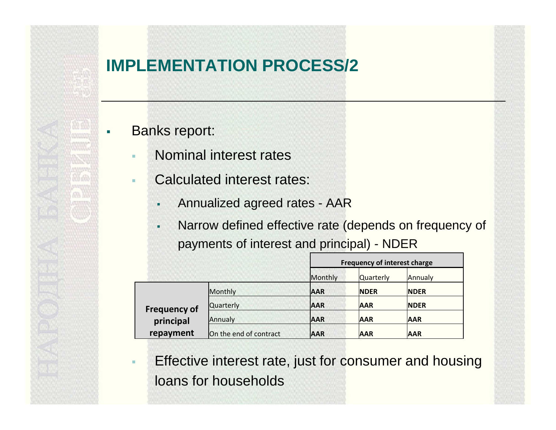#### **IMPLEMENTATION PROCESS/2**

Banks report:

ш

- $\mathbf{r}$ Nominal interest rates
- Calculated interest rates:
	- $\blacksquare$ Annualized agreed rates - AAR
	- $\blacksquare$  Narrow defined effective rate (depends on frequency of payments of interest and principal) - NDER

|                                               |                        | <b>Frequency of interest charge</b> |                  |             |
|-----------------------------------------------|------------------------|-------------------------------------|------------------|-------------|
|                                               |                        | Monthly                             | <b>Quarterly</b> | Annualy     |
| <b>Frequency of</b><br>principal<br>repayment | Monthly                | <b>AAR</b>                          | <b>NDER</b>      | <b>NDER</b> |
|                                               | <b>Quarterly</b>       | <b>AAR</b>                          | <b>AAR</b>       | <b>NDER</b> |
|                                               | Annualy                | <b>AAR</b>                          | <b>AAR</b>       | <b>AAR</b>  |
|                                               | On the end of contract | <b>AAR</b>                          | <b>AAR</b>       | <b>AAR</b>  |

٠ Effective interest rate, just for consumer and housing loans for households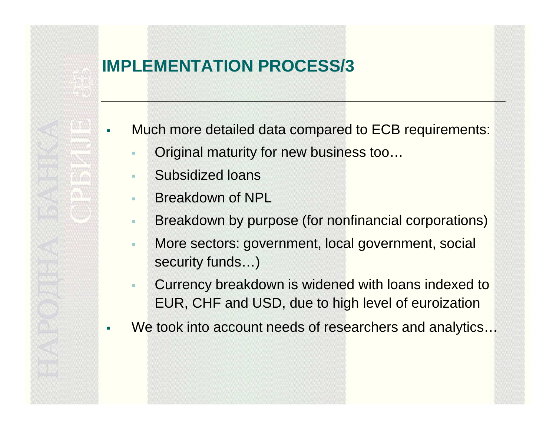#### **IMPLEMENTATION PROCESS/3**

- ш Much more detailed data compared to ECB requirements:
	- $\mathbf{r}$ Original maturity for new business too…
	- ×. Subsidized loans
	- a. Breakdown of NPL

г

- $\mathbf{r}$ Breakdown by purpose (for nonfinancial corporations)
- $\mathbf{r}$  More sectors: government, local government, social security funds…)
- Currency breakdown is widened with loans indexed toEUR, CHF and USD, due to high level of euroization
- We took into account needs of researchers and analytics...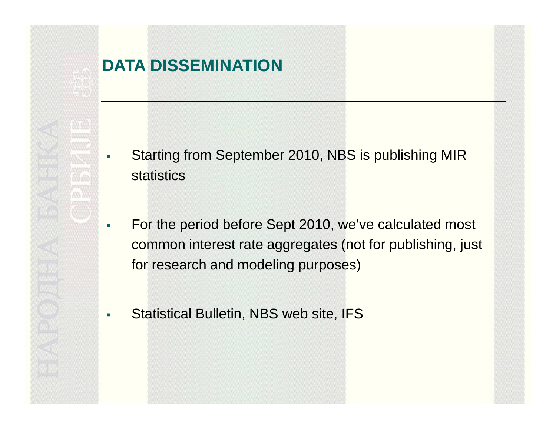#### **DATA DISSEMINATION**

- ш Starting from September 2010, NBS is publishing MIRstatistics
- $\mathcal{L}_{\mathcal{A}}$  For the period before Sept 2010, we've calculated most common interest rate aggregates (not for publishing, just for research and modeling purposes)
	- Statistical Bulletin, NBS web site, IFS

 $\mathbf{r}$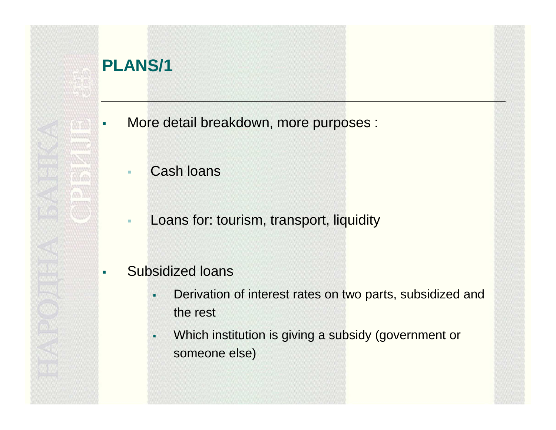#### **PLANS/1**

ш

- More detail breakdown, more purposes :
	- Cash loans
	- $\blacksquare$ Loans for: tourism, transport, liquidity
- г Subsidized loans
	- $\blacksquare$  Derivation of interest rates on two parts, subsidized and the rest
	- ٠ Which institution is giving a subsidy (government or someone else)